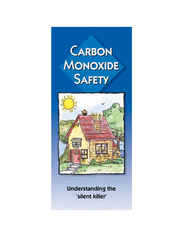



Understanding the 'silent killer'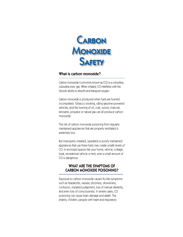

# What is carbon monoxide?

Carbon monoxide (commonly known as CO) is a colourless, odourless toxic gas. When inhaled, CO interferes with the blood's ability to absorb and transport oxygen.

Carbon monoxide is produced when fuels are burned incompletely. Tobacco smoking, idling gasoline-powered vehicles, and the burning of oil, coal, wood, charcoal, kerosene, propane or natural gas can all produce carbon monoxide.

The risk of carbon monoxide poisoning from regularly maintained appliances that are properly ventilated is extremely low.

But improperly installed, operated or poorly maintained appliances that use these fuels may create unsafe levels of CO. In enclosed spaces like your home, vehicle, cottage, boat, recreational vehicle or tent, even a small amount of CO is dangerous.

## WHAT ARE THE SYMPTOMS OF CARBON MONOXIDE POISONING?

Exposure to carbon monoxide causes flu-like symptoms such as headaches, nausea, dizziness, drowsiness, confusion, impaired judgement, loss of manual dexterity, and even loss of consciousness. In severe cases, CO poisoning can cause brain damage and death. The elderly, children, people with heart and respiratory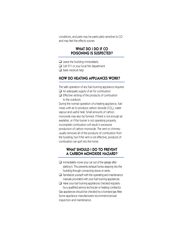conditions, and pets may be particularly sensitive to CO and may feel the effects sooner.

### WHAT DO I DO IF CO POISONING IS SUSPECTED?

- $\Box$  Leave the building immediately
- ❑ Call 911 or your local fire department
- ❑ Seek medical help

# HOW DO HEATING APPLIANCES WORK?

The safe operation of any fuel-burning appliance requires:

- $\Box$  An adequate supply of air for combustion
- ❑ Effective venting of the products of combustion to the outdoors

During the normal operation of a heating appliance, fuel mixes with air to produce carbon dioxide  $(CO<sub>o</sub>)$ , water vapour and useful heat. Small amounts of carbon monoxide may also be formed. If there is not enough air available, or if the burner is not operating properly, incomplete combustion will result in excessive production of carbon monoxide. The vent or chimney usually removes all of the products of combustion from the building; but if the vent is not effective, products of combustion can spill into the home.

# WHAT SHOULD I DO TO PREVENT A CARBON MONOXIDE HAZARD?

- $\Box$  Immediately move your car out of the garage after starting it. This prevents exhaust fumes seeping into the building through connecting doors or vents.
- $\Box$  Familiarize yourself with the operating and maintenance manuals provided with your fuel burning appliances.

❑ Have your fuel burning appliances checked regularly by a qualified service technician or heating contractor. Gas appliances should be checked by a licensed gas fitter. Some appliance manufacturers recommend annual inspection and maintenance.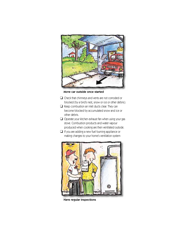

Move car outside once started

- ❑ Check that chimneys and vents are not corroded or blocked (by a bird's nest, snow or ice or other debris).
- ❑ Keep combustion air inlet ducts clear. They can become blocked by accumulated snow and ice or other debris.
- ❑ Operate your kitchen exhaust fan when using your gas stove. Combustion products and water vapour produced when cooking are then ventilated outside.
- $\Box$  If you are adding a new fuel burning appliance or making changes to your home's ventilation system



Have regular inspections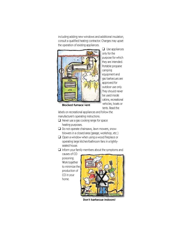including adding new windows and additional insulation, consult a qualified heating contractor. Changes may upset the operation of existing appliances.



 $\Box$  Use appliances only for the purpose for which they are intended. Portable propane camping equipment and gas barbecues are approved for outdoor use only. They should never be used inside cabins, recreational vehicles, boats or tents. Read the

Blocked furnace vent

labels on recreational appliances and follow the manufacturer's operating instructions.

- ❑ Never use a gas cooking range for space heating purposes.
- ❑ Do not operate chainsaws, lawn mowers, snowblowers in a closed area (garage, workshop, etc.)
- ❑ Open a window when using a wood fireplace or operating large kitchen/bathroom fans in a tightlysealed house.

#### $\Box$  Inform your family members about the symptoms and

causes of CO poisoning. Work together to minimize the production of CO in your home.



Don't barbecue indoors!